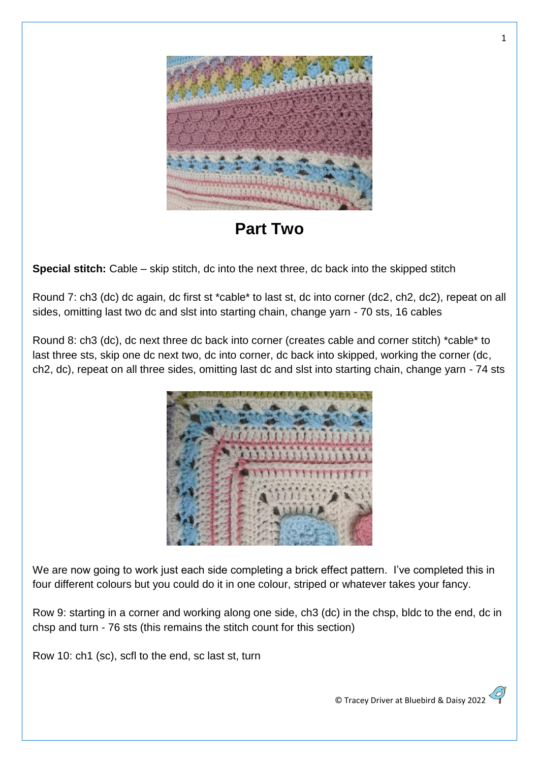

**Part Two**

**Special stitch:** Cable – skip stitch, dc into the next three, dc back into the skipped stitch

Round 7: ch3 (dc) dc again, dc first st \*cable\* to last st, dc into corner (dc2, ch2, dc2), repeat on all sides, omitting last two dc and slst into starting chain, change yarn - 70 sts, 16 cables

Round 8: ch3 (dc), dc next three dc back into corner (creates cable and corner stitch) \*cable\* to last three sts, skip one dc next two, dc into corner, dc back into skipped, working the corner (dc, ch2, dc), repeat on all three sides, omitting last dc and slst into starting chain, change yarn - 74 sts



We are now going to work just each side completing a brick effect pattern. I've completed this in four different colours but you could do it in one colour, striped or whatever takes your fancy.

Row 9: starting in a corner and working along one side, ch3 (dc) in the chsp, bldc to the end, dc in chsp and turn - 76 sts (this remains the stitch count for this section)

Row 10: ch1 (sc), scfl to the end, sc last st, turn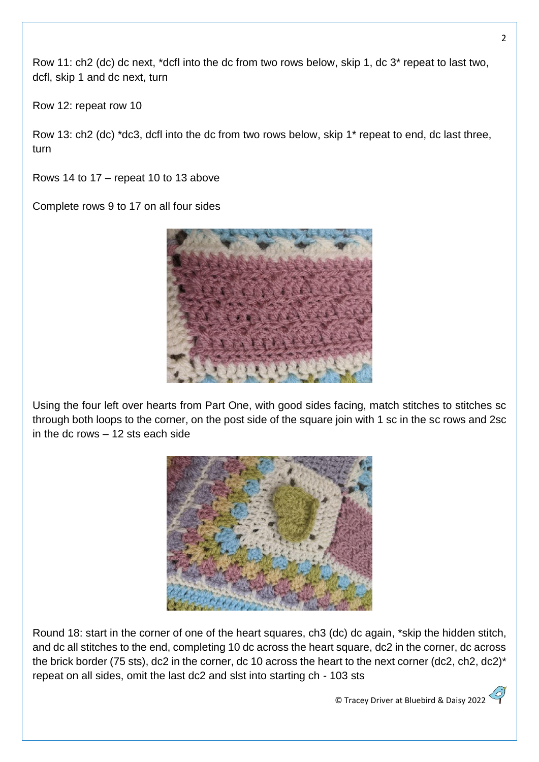Row 11: ch2 (dc) dc next, \*dcfl into the dc from two rows below, skip 1, dc 3\* repeat to last two, dcfl, skip 1 and dc next, turn

Row 12: repeat row 10

Row 13: ch2 (dc) \*dc3, dcfl into the dc from two rows below, skip 1\* repeat to end, dc last three, turn

Rows 14 to 17 – repeat 10 to 13 above

Complete rows 9 to 17 on all four sides



Using the four left over hearts from Part One, with good sides facing, match stitches to stitches sc through both loops to the corner, on the post side of the square join with 1 sc in the sc rows and 2sc in the dc rows – 12 sts each side



Round 18: start in the corner of one of the heart squares, ch3 (dc) dc again, \*skip the hidden stitch, and dc all stitches to the end, completing 10 dc across the heart square, dc2 in the corner, dc across the brick border (75 sts), dc2 in the corner, dc 10 across the heart to the next corner (dc2, ch2, dc2)\* repeat on all sides, omit the last dc2 and slst into starting ch - 103 sts